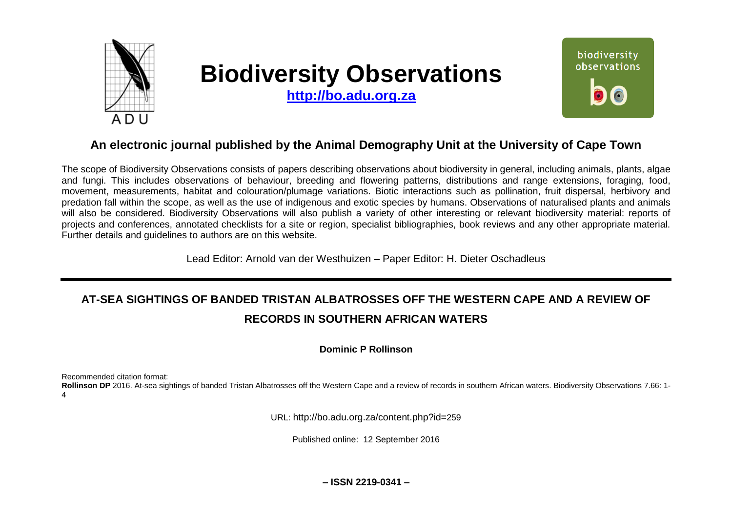

# **Biodiversity Observations**

**[http://bo.adu.org.za](http://bo.adu.org.za/)**



# **An electronic journal published by the Animal Demography Unit at the University of Cape Town**

The scope of Biodiversity Observations consists of papers describing observations about biodiversity in general, including animals, plants, algae and fungi. This includes observations of behaviour, breeding and flowering patterns, distributions and range extensions, foraging, food, movement, measurements, habitat and colouration/plumage variations. Biotic interactions such as pollination, fruit dispersal, herbivory and predation fall within the scope, as well as the use of indigenous and exotic species by humans. Observations of naturalised plants and animals will also be considered. Biodiversity Observations will also publish a variety of other interesting or relevant biodiversity material: reports of projects and conferences, annotated checklists for a site or region, specialist bibliographies, book reviews and any other appropriate material. Further details and guidelines to authors are on this website.

Lead Editor: Arnold van der Westhuizen – Paper Editor: H. Dieter Oschadleus

# **AT-SEA SIGHTINGS OF BANDED TRISTAN ALBATROSSES OFF THE WESTERN CAPE AND A REVIEW OF RECORDS IN SOUTHERN AFRICAN WATERS**

### **Dominic P Rollinson**

Recommended citation format:

**Rollinson DP** 2016. At-sea sightings of banded Tristan Albatrosses off the Western Cape and a review of records in southern African waters. Biodiversity Observations 7.66: 1- 4

URL: http://bo.adu.org.za/content.php?id=259

Published online: 12 September 2016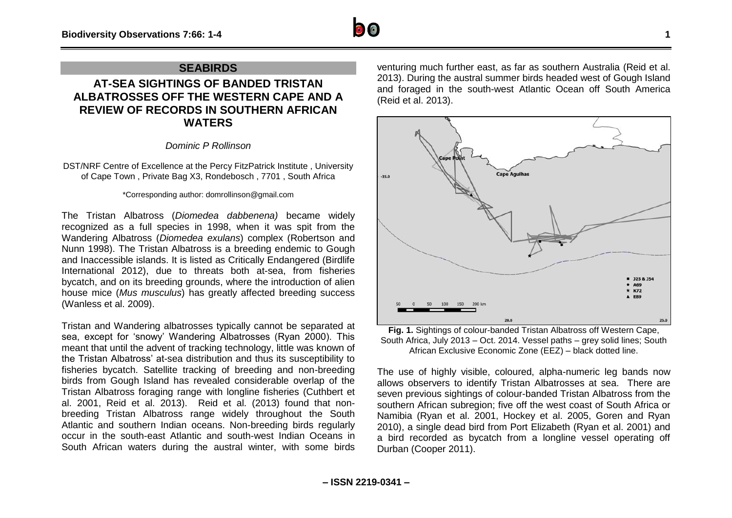

## **SEABIRDS**

# **AT-SEA SIGHTINGS OF BANDED TRISTAN ALBATROSSES OFF THE WESTERN CAPE AND A REVIEW OF RECORDS IN SOUTHERN AFRICAN WATERS**

*Dominic P Rollinson*

DST/NRF Centre of Excellence at the Percy FitzPatrick Institute , University of Cape Town , Private Bag X3, Rondebosch , 7701 , South Africa

#### \*Corresponding author: domrollinson@gmail.com

The Tristan Albatross (*Diomedea dabbenena)* became widely recognized as a full species in 1998, when it was spit from the Wandering Albatross (*Diomedea exulans*) complex (Robertson and Nunn 1998). The Tristan Albatross is a breeding endemic to Gough and Inaccessible islands. It is listed as Critically Endangered (Birdlife International 2012), due to threats both at-sea, from fisheries bycatch, and on its breeding grounds, where the introduction of alien house mice (*Mus musculus*) has greatly affected breeding success (Wanless et al. 2009).

Tristan and Wandering albatrosses typically cannot be separated at sea, except for 'snowy' Wandering Albatrosses (Ryan 2000). This meant that until the advent of tracking technology, little was known of the Tristan Albatross' at-sea distribution and thus its susceptibility to fisheries bycatch. Satellite tracking of breeding and non-breeding birds from Gough Island has revealed considerable overlap of the Tristan Albatross foraging range with longline fisheries (Cuthbert et al. 2001, Reid et al. 2013). Reid et al. (2013) found that nonbreeding Tristan Albatross range widely throughout the South Atlantic and southern Indian oceans. Non-breeding birds regularly occur in the south-east Atlantic and south-west Indian Oceans in South African waters during the austral winter, with some birds

venturing much further east, as far as southern Australia (Reid et al. 2013). During the austral summer birds headed west of Gough Island and foraged in the south-west Atlantic Ocean off South America (Reid et al. 2013).



**Fig. 1.** Sightings of colour-banded Tristan Albatross off Western Cape, South Africa, July 2013 – Oct. 2014. Vessel paths – grey solid lines; South African Exclusive Economic Zone (EEZ) – black dotted line.

The use of highly visible, coloured, alpha-numeric leg bands now allows observers to identify Tristan Albatrosses at sea. There are seven previous sightings of colour-banded Tristan Albatross from the southern African subregion; five off the west coast of South Africa or Namibia (Ryan et al. 2001, Hockey et al. 2005, Goren and Ryan 2010), a single dead bird from Port Elizabeth (Ryan et al. 2001) and a bird recorded as bycatch from a longline vessel operating off Durban (Cooper 2011).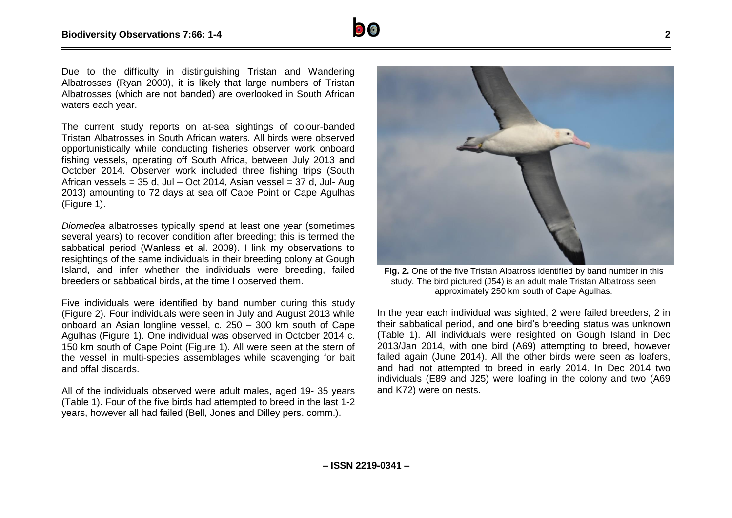

Due to the difficulty in distinguishing Tristan and Wandering Albatrosses (Ryan 2000), it is likely that large numbers of Tristan Albatrosses (which are not banded) are overlooked in South African waters each year.

The current study reports on at-sea sightings of colour-banded Tristan Albatrosses in South African waters. All birds were observed opportunistically while conducting fisheries observer work onboard fishing vessels, operating off South Africa, between July 2013 and October 2014. Observer work included three fishing trips (South African vessels =  $35$  d, Jul – Oct 2014, Asian vessel =  $37$  d, Jul-Aug 2013) amounting to 72 days at sea off Cape Point or Cape Agulhas (Figure 1).

*Diomedea* albatrosses typically spend at least one year (sometimes several years) to recover condition after breeding; this is termed the sabbatical period (Wanless et al. 2009). I link my observations to resightings of the same individuals in their breeding colony at Gough Island, and infer whether the individuals were breeding, failed breeders or sabbatical birds, at the time I observed them.

Five individuals were identified by band number during this study (Figure 2). Four individuals were seen in July and August 2013 while onboard an Asian longline vessel, c. 250 – 300 km south of Cape Agulhas (Figure 1). One individual was observed in October 2014 c. 150 km south of Cape Point (Figure 1). All were seen at the stern of the vessel in multi-species assemblages while scavenging for bait and offal discards.

All of the individuals observed were adult males, aged 19- 35 years (Table 1). Four of the five birds had attempted to breed in the last 1-2 years, however all had failed (Bell, Jones and Dilley pers. comm.).



**Fig. 2.** One of the five Tristan Albatross identified by band number in this study. The bird pictured (J54) is an adult male Tristan Albatross seen approximately 250 km south of Cape Agulhas.

In the year each individual was sighted, 2 were failed breeders, 2 in their sabbatical period, and one bird's breeding status was unknown (Table 1). All individuals were resighted on Gough Island in Dec 2013/Jan 2014, with one bird (A69) attempting to breed, however failed again (June 2014). All the other birds were seen as loafers, and had not attempted to breed in early 2014. In Dec 2014 two individuals (E89 and J25) were loafing in the colony and two (A69 and K72) were on nests.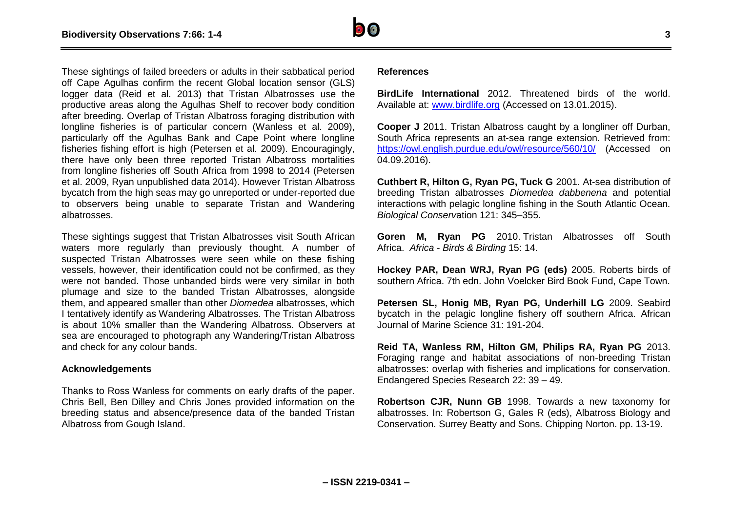These sightings of failed breeders or adults in their sabbatical period off Cape Agulhas confirm the recent Global location sensor (GLS) logger data (Reid et al. 2013) that Tristan Albatrosses use the productive areas along the Agulhas Shelf to recover body condition after breeding. Overlap of Tristan Albatross foraging distribution with longline fisheries is of particular concern (Wanless et al. 2009), particularly off the Agulhas Bank and Cape Point where longline fisheries fishing effort is high (Petersen et al. 2009). Encouragingly, there have only been three reported Tristan Albatross mortalities from longline fisheries off South Africa from 1998 to 2014 (Petersen et al. 2009, Ryan unpublished data 2014). However Tristan Albatross bycatch from the high seas may go unreported or under-reported due to observers being unable to separate Tristan and Wandering albatrosses.

These sightings suggest that Tristan Albatrosses visit South African waters more regularly than previously thought. A number of suspected Tristan Albatrosses were seen while on these fishing vessels, however, their identification could not be confirmed, as they were not banded. Those unbanded birds were very similar in both plumage and size to the banded Tristan Albatrosses, alongside them, and appeared smaller than other *Diomedea* albatrosses, which I tentatively identify as Wandering Albatrosses. The Tristan Albatross is about 10% smaller than the Wandering Albatross. Observers at sea are encouraged to photograph any Wandering/Tristan Albatross and check for any colour bands.

#### **Acknowledgements**

Thanks to Ross Wanless for comments on early drafts of the paper. Chris Bell, Ben Dilley and Chris Jones provided information on the breeding status and absence/presence data of the banded Tristan Albatross from Gough Island.

#### **References**

**BirdLife International** 2012. Threatened birds of the world. Available at: [www.birdlife.org](http://www.birdlife.org/) (Accessed on 13.01.2015).

**Cooper J** 2011. Tristan Albatross caught by a longliner off Durban, South Africa represents an at-sea range extension. Retrieved from: <https://owl.english.purdue.edu/owl/resource/560/10/> (Accessed on 04.09.2016).

**Cuthbert R, Hilton G, Ryan PG, Tuck G** 2001. At-sea distribution of breeding Tristan albatrosses *Diomedea dabbenena* and potential interactions with pelagic longline fishing in the South Atlantic Ocean. *Biological Conserv*ation 121: 345–355.

**Goren M, Ryan PG** 2010. Tristan Albatrosses off South Africa. *Africa - Birds & Birding* 15: 14.

**Hockey PAR, Dean WRJ, Ryan PG (eds)** 2005. Roberts birds of southern Africa. 7th edn. John Voelcker Bird Book Fund, Cape Town.

**Petersen SL, Honig MB, Ryan PG, Underhill LG** 2009. Seabird bycatch in the pelagic longline fishery off southern Africa. African Journal of Marine Science 31: 191-204.

**Reid TA, Wanless RM, Hilton GM, Philips RA, Ryan PG** 2013. Foraging range and habitat associations of non-breeding Tristan albatrosses: overlap with fisheries and implications for conservation. Endangered Species Research 22: 39 – 49.

**Robertson CJR, Nunn GB** 1998. Towards a new taxonomy for albatrosses. In: Robertson G, Gales R (eds), Albatross Biology and Conservation. Surrey Beatty and Sons. Chipping Norton. pp. 13-19.